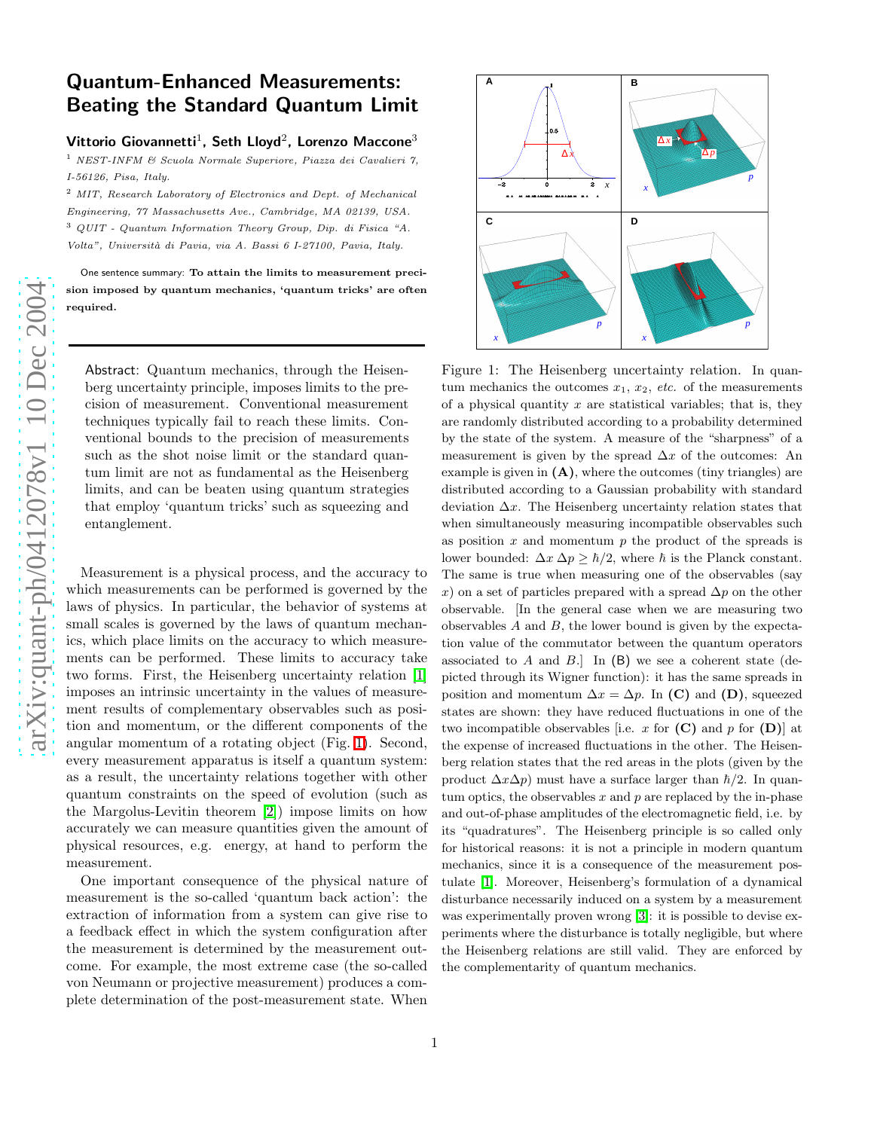## Quantum-Enhanced Measurements: Beating the Standard Quantum Limit

Vittorio Giovannetti<sup>1</sup>, Seth Lloyd<sup>2</sup>, Lorenzo Maccone<sup>3</sup>

<sup>1</sup> NEST-INFM & Scuola Normale Superiore, Piazza dei Cavalieri 7, I-56126, Pisa, Italy.

<sup>2</sup> MIT, Research Laboratory of Electronics and Dept. of Mechanical Engineering, 77 Massachusetts Ave., Cambridge, MA 02139, USA. <sup>3</sup> QUIT - Quantum Information Theory Group, Dip. di Fisica "A. Volta", Universit`a di Pavia, via A. Bassi 6 I-27100, Pavia, Italy.

One sentence summary: To attain the limits to measurement precision imposed by quantum mechanics, 'quantum tricks' are often required.

Abstract: Quantum mechanics, through the Heisenberg uncertainty principle, imposes limits to the precision of measurement. Conventional measurement techniques typically fail to reach these limits. Conventional bounds to the precision of measurements such as the shot noise limit or the standard quantum limit are not as fundamental as the Heisenberg limits, and can be beaten using quantum strategies that employ 'quantum tricks' such as squeezing and entanglement.

Measurement is a physical process, and the accuracy to which measurements can be performed is governed by the laws of physics. In particular, the behavior of systems at small scales is governed by the laws of quantum mechanics, which place limits on the accuracy to which measurements can be performed. These limits to accuracy take two forms. First, the Heisenberg uncertainty relation [\[1\]](#page-8-0) imposes an intrinsic uncertainty in the values of measurement results of complementary observables such as position and momentum, or the different components of the angular momentum of a rotating object (Fig. [1\)](#page-0-0). Second, every measurement apparatus is itself a quantum system: as a result, the uncertainty relations together with other quantum constraints on the speed of evolution (such as the Margolus-Levitin theorem [\[2\]](#page-8-1)) impose limits on how accurately we can measure quantities given the amount of physical resources, e.g. energy, at hand to perform the measurement.

One important consequence of the physical nature of measurement is the so-called 'quantum back action': the extraction of information from a system can give rise to a feedback effect in which the system configuration after the measurement is determined by the measurement outcome. For example, the most extreme case (the so-called von Neumann or projective measurement) produces a complete determination of the post-measurement state. When



<span id="page-0-0"></span>Figure 1: The Heisenberg uncertainty relation. In quantum mechanics the outcomes  $x_1, x_2, etc.$  of the measurements of a physical quantity  $x$  are statistical variables; that is, they are randomly distributed according to a probability determined by the state of the system. A measure of the "sharpness" of a measurement is given by the spread  $\Delta x$  of the outcomes: An example is given in  $(A)$ , where the outcomes (tiny triangles) are distributed according to a Gaussian probability with standard deviation  $\Delta x$ . The Heisenberg uncertainty relation states that when simultaneously measuring incompatible observables such as position  $x$  and momentum  $p$  the product of the spreads is lower bounded:  $\Delta x \, \Delta p \geq \hbar/2$ , where  $\hbar$  is the Planck constant. The same is true when measuring one of the observables (say x) on a set of particles prepared with a spread  $\Delta p$  on the other observable. [In the general case when we are measuring two observables A and B, the lower bound is given by the expectation value of the commutator between the quantum operators associated to A and B. In  $(B)$  we see a coherent state (depicted through its Wigner function): it has the same spreads in position and momentum  $\Delta x = \Delta p$ . In (C) and (D), squeezed states are shown: they have reduced fluctuations in one of the two incompatible observables [i.e. x for  $(C)$  and p for  $(D)$ ] at the expense of increased fluctuations in the other. The Heisenberg relation states that the red areas in the plots (given by the product  $\Delta x \Delta p$  must have a surface larger than  $\hbar/2$ . In quantum optics, the observables  $x$  and  $p$  are replaced by the in-phase and out-of-phase amplitudes of the electromagnetic field, i.e. by its "quadratures". The Heisenberg principle is so called only for historical reasons: it is not a principle in modern quantum mechanics, since it is a consequence of the measurement postulate [\[1\]](#page-8-0). Moreover, Heisenberg's formulation of a dynamical disturbance necessarily induced on a system by a measuremen t was experimentally proven wrong [\[3\]](#page-8-2): it is possible to devise experiments where the disturbance is totally negligible, but where the Heisenberg relations are still valid. They are enforced by the complementarity of quantum mechanics.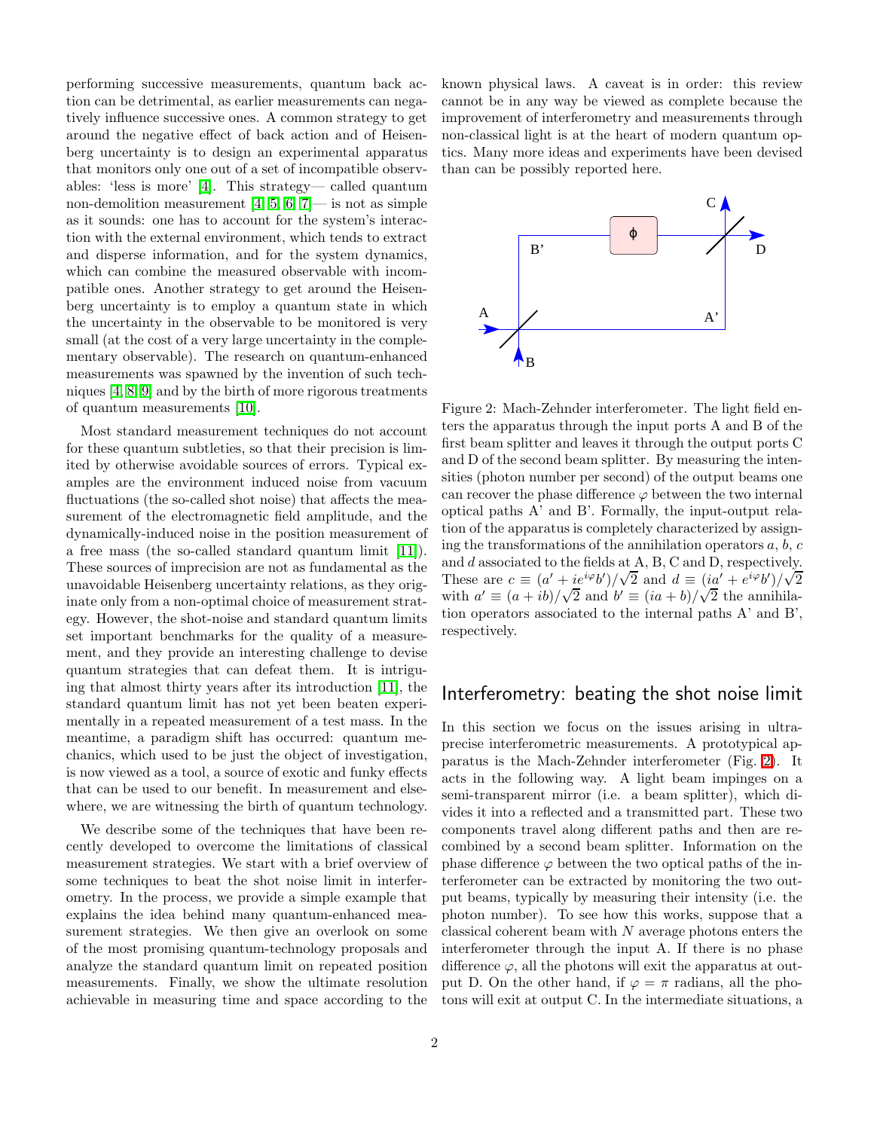performing successive measurements, quantum back action can be detrimental, as earlier measurements can negatively influence successive ones. A common strategy to get around the negative effect of back action and of Heisenberg uncertainty is to design an experimental apparatus that monitors only one out of a set of incompatible observables: 'less is more' [\[4\]](#page-8-3). This strategy— called quantum non-demolition measurement  $[4, 5, 6, 7]$  $[4, 5, 6, 7]$  $[4, 5, 6, 7]$  $[4, 5, 6, 7]$ — is not as simple as it sounds: one has to account for the system's interaction with the external environment, which tends to extract and disperse information, and for the system dynamics, which can combine the measured observable with incompatible ones. Another strategy to get around the Heisenberg uncertainty is to employ a quantum state in which the uncertainty in the observable to be monitored is very small (at the cost of a very large uncertainty in the complementary observable). The research on quantum-enhanced measurements was spawned by the invention of such techniques [\[4,](#page-8-3) [8,](#page-8-7) [9\]](#page-8-8) and by the birth of more rigorous treatments of quantum measurements [\[10\]](#page-8-9).

Most standard measurement techniques do not account for these quantum subtleties, so that their precision is limited by otherwise avoidable sources of errors. Typical examples are the environment induced noise from vacuum fluctuations (the so-called shot noise) that affects the measurement of the electromagnetic field amplitude, and the dynamically-induced noise in the position measurement of a free mass (the so-called standard quantum limit [\[11\]](#page-8-10)). These sources of imprecision are not as fundamental as the unavoidable Heisenberg uncertainty relations, as they originate only from a non-optimal choice of measurement strategy. However, the shot-noise and standard quantum limits set important benchmarks for the quality of a measurement, and they provide an interesting challenge to devise quantum strategies that can defeat them. It is intriguing that almost thirty years after its introduction [\[11\]](#page-8-10), the standard quantum limit has not yet been beaten experimentally in a repeated measurement of a test mass. In the meantime, a paradigm shift has occurred: quantum mechanics, which used to be just the object of investigation, is now viewed as a tool, a source of exotic and funky effects that can be used to our benefit. In measurement and elsewhere, we are witnessing the birth of quantum technology.

We describe some of the techniques that have been recently developed to overcome the limitations of classical measurement strategies. We start with a brief overview of some techniques to beat the shot noise limit in interferometry. In the process, we provide a simple example that explains the idea behind many quantum-enhanced measurement strategies. We then give an overlook on some of the most promising quantum-technology proposals and analyze the standard quantum limit on repeated position measurements. Finally, we show the ultimate resolution achievable in measuring time and space according to the known physical laws. A caveat is in order: this review cannot be in any way be viewed as complete because the improvement of interferometry and measurements through non-classical light is at the heart of modern quantum optics. Many more ideas and experiments have been devised than can be possibly reported here.



<span id="page-1-0"></span>Figure 2: Mach-Zehnder interferometer. The light field enters the apparatus through the input ports A and B of the first beam splitter and leaves it through the output ports C and D of the second beam splitter. By measuring the intensities (photon number per second) of the output beams one can recover the phase difference  $\varphi$  between the two internal optical paths A' and B'. Formally, the input-output relation of the apparatus is completely characterized by assigning the transformations of the annihilation operators  $a, b, c$ and d associated to the fields at A, B, C and D, respectively. These are  $c \equiv (a' + ie^{i\varphi}b')/\sqrt{2}$  and  $d \equiv (ia' + e^{i\varphi}b')/\sqrt{2}$ with  $a' \equiv (a + ib)/\sqrt{2}$  and  $b' \equiv (ia + b)/\sqrt{2}$  the annihilation operators associated to the internal paths A' and B', respectively.

### Interferometry: beating the shot noise limit

In this section we focus on the issues arising in ultraprecise interferometric measurements. A prototypical apparatus is the Mach-Zehnder interferometer (Fig. [2\)](#page-1-0). It acts in the following way. A light beam impinges on a semi-transparent mirror (i.e. a beam splitter), which divides it into a reflected and a transmitted part. These two components travel along different paths and then are recombined by a second beam splitter. Information on the phase difference  $\varphi$  between the two optical paths of the interferometer can be extracted by monitoring the two output beams, typically by measuring their intensity (i.e. the photon number). To see how this works, suppose that a classical coherent beam with  $N$  average photons enters the interferometer through the input A. If there is no phase difference  $\varphi$ , all the photons will exit the apparatus at output D. On the other hand, if  $\varphi = \pi$  radians, all the photons will exit at output C. In the intermediate situations, a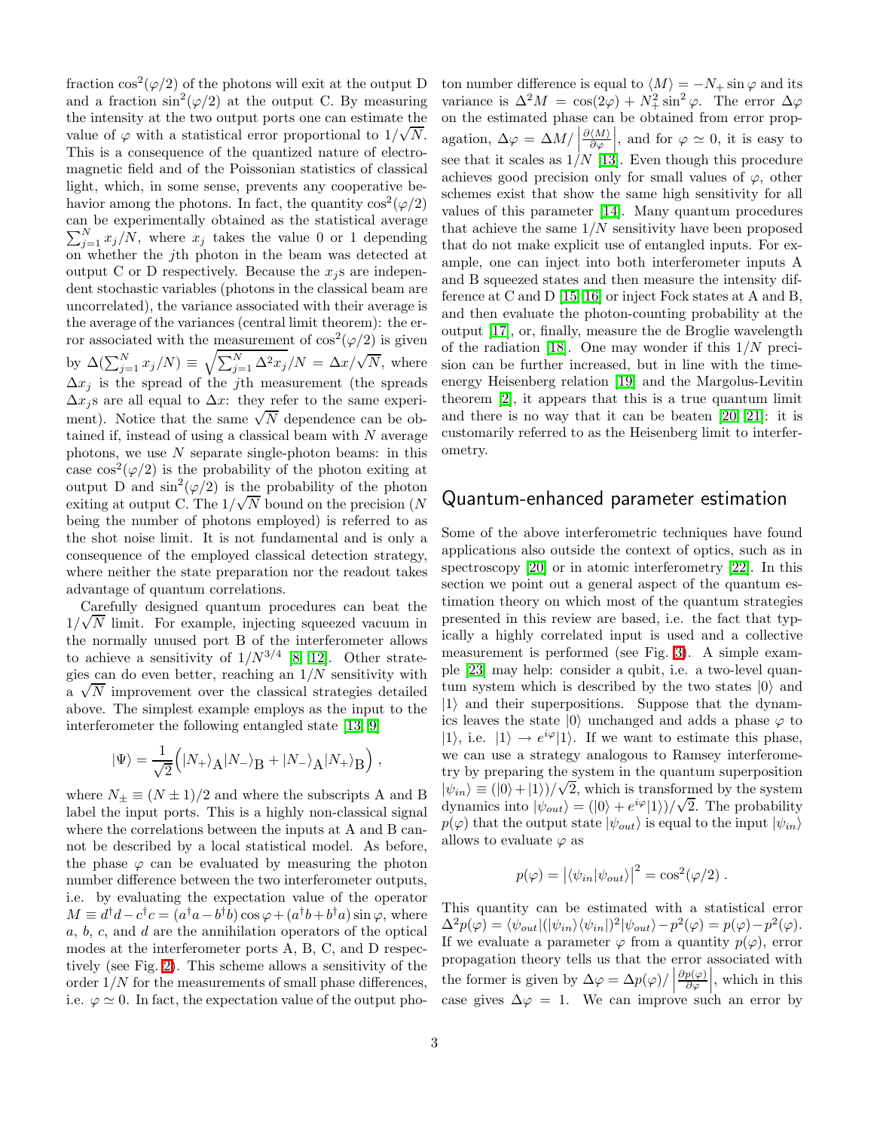fraction  $\cos^2(\varphi/2)$  of the photons will exit at the output D and a fraction  $\sin^2(\varphi/2)$  at the output C. By measuring the intensity at the two output ports one can estimate the value of  $\varphi$  with a statistical error proportional to  $1/\sqrt{N}$ . This is a consequence of the quantized nature of electromagnetic field and of the Poissonian statistics of classical light, which, in some sense, prevents any cooperative behavior among the photons. In fact, the quantity  $\cos^2(\varphi/2)$ can be experimentally obtained as the statistical average  $\sum_{j=1}^{N} x_j/N$ , where  $x_j$  takes the value 0 or 1 depending on whether the jth photon in the beam was detected at output C or D respectively. Because the  $x_i$  s are independent stochastic variables (photons in the classical beam are uncorrelated), the variance associated with their average is the average of the variances (central limit theorem): the error associated with the measurement of  $\cos^2(\varphi/2)$  is given by  $\Delta(\sum_{j=1}^N x_j/N) \equiv \sqrt{\sum_{j=1}^N \Delta^2 x_j/N} = \Delta x/\sqrt{N}$ , where  $\Delta x_j$  is the spread of the jth measurement (the spreads  $\Delta x_j$ s are all equal to  $\Delta x$ : they refer to the same experiment). Notice that the same  $\sqrt{N}$  dependence can be obtained if, instead of using a classical beam with  $N$  average photons, we use  $N$  separate single-photon beams: in this case  $\cos^2(\varphi/2)$  is the probability of the photon exiting at output D and  $\sin^2(\varphi/2)$  is the probability of the photon exiting at output C. The  $1/\sqrt{N}$  bound on the precision (N being the number of photons employed) is referred to as the shot noise limit. It is not fundamental and is only a consequence of the employed classical detection strategy, where neither the state preparation nor the readout takes advantage of quantum correlations.

Carefully designed quantum procedures can beat the  $1/\sqrt{N}$  limit. For example, injecting squeezed vacuum in the normally unused port B of the interferometer allows to achieve a sensitivity of  $1/N^{3/4}$  [\[8,](#page-8-7) [12\]](#page-8-11). Other strategies can do even better, reaching an  $1/N$  sensitivity with  $\sqrt{N}$  improvement over the classical strategies detailed above. The simplest example employs as the input to the interferometer the following entangled state [\[13,](#page-8-12) [9\]](#page-8-8)

$$
|\Psi\rangle=\frac{1}{\sqrt{2}}\Big(|N_+\rangle_{\mbox{\scriptsize A}}|N_-\rangle_{\mbox{\scriptsize B}}+|N_-\rangle_{\mbox{\scriptsize A}}|N_+\rangle_{\mbox{\scriptsize B}}\Big)\;,
$$

where  $N_{\pm} \equiv (N \pm 1)/2$  and where the subscripts A and B label the input ports. This is a highly non-classical signal where the correlations between the inputs at A and B cannot be described by a local statistical model. As before, the phase  $\varphi$  can be evaluated by measuring the photon number difference between the two interferometer outputs, i.e. by evaluating the expectation value of the operator  $M \equiv d^{\dagger}d - c^{\dagger}c = (a^{\dagger}a - b^{\dagger}b)\cos\varphi + (a^{\dagger}b + b^{\dagger}a)\sin\varphi$ , where a, b, c, and d are the annihilation operators of the optical modes at the interferometer ports A, B, C, and D respectively (see Fig. [2\)](#page-1-0). This scheme allows a sensitivity of the order  $1/N$  for the measurements of small phase differences. i.e.  $\varphi \simeq 0$ . In fact, the expectation value of the output photon number difference is equal to  $\langle M \rangle = -N_+ \sin \varphi$  and its variance is  $\Delta^2 M = \cos(2\varphi) + N_+^2 \sin^2 \varphi$ . The error  $\Delta \varphi$ on the estimated phase can be obtained from error propagation,  $\Delta \varphi = \Delta M /$  $\partial \langle M \rangle$  $\partial \varphi$ , and for  $\varphi \simeq 0$ , it is easy to see that it scales as  $1/N$  [\[13\]](#page-8-12). Even though this procedure achieves good precision only for small values of  $\varphi$ , other schemes exist that show the same high sensitivity for all values of this parameter [\[14\]](#page-8-13). Many quantum procedures that achieve the same  $1/N$  sensitivity have been proposed that do not make explicit use of entangled inputs. For example, one can inject into both interferometer inputs A and B squeezed states and then measure the intensity difference at C and D [\[15,](#page-8-14) [16\]](#page-8-15) or inject Fock states at A and B, and then evaluate the photon-counting probability at the output [\[17\]](#page-8-16), or, finally, measure the de Broglie wavelength of the radiation [\[18\]](#page-8-17). One may wonder if this  $1/N$  precision can be further increased, but in line with the timeenergy Heisenberg relation [\[19\]](#page-8-18) and the Margolus-Levitin theorem [\[2\]](#page-8-1), it appears that this is a true quantum limit and there is no way that it can be beaten [\[20,](#page-8-19) [21\]](#page-8-20): it is customarily referred to as the Heisenberg limit to interferometry.

### Quantum-enhanced parameter estimation

Some of the above interferometric techniques have found applications also outside the context of optics, such as in spectroscopy [\[20\]](#page-8-19) or in atomic interferometry [\[22\]](#page-8-21). In this section we point out a general aspect of the quantum estimation theory on which most of the quantum strategies presented in this review are based, i.e. the fact that typically a highly correlated input is used and a collective measurement is performed (see Fig. [3\)](#page-3-0). A simple example [\[23\]](#page-8-22) may help: consider a qubit, i.e. a two-level quantum system which is described by the two states  $|0\rangle$  and  $|1\rangle$  and their superpositions. Suppose that the dynamics leaves the state  $|0\rangle$  unchanged and adds a phase  $\varphi$  to  $|1\rangle$ , i.e.  $|1\rangle \rightarrow e^{i\varphi}|1\rangle$ . If we want to estimate this phase, we can use a strategy analogous to Ramsey interferometry by preparing the system in the quantum superposition  $|\psi_{in}\rangle \equiv (|0\rangle + |1\rangle)/\sqrt{2}$ , which is transformed by the system dynamics into  $|\psi_{out}\rangle = (0) + e^{i\varphi} |1\rangle)/\sqrt{2}$ . The probability  $p(\varphi)$  that the output state  $|\psi_{out}\rangle$  is equal to the input  $|\psi_{in}\rangle$ allows to evaluate  $\varphi$  as

$$
p(\varphi) = |\langle \psi_{in} | \psi_{out} \rangle|^2 = \cos^2(\varphi/2) .
$$

This quantity can be estimated with a statistical error  $\Delta^2 p(\varphi) = \langle \psi_{out} | (|\psi_{in}\rangle \langle \psi_{in}|)^2 | \psi_{out} \rangle - p^2(\varphi) = p(\varphi) - p^2(\varphi).$ If we evaluate a parameter  $\varphi$  from a quantity  $p(\varphi)$ , error propagation theory tells us that the error associated with the former is given by  $\Delta \varphi = \Delta p(\varphi)/|$  $\partial p(\varphi)$  $\partial \varphi$  $\Big\vert$ , which in this case gives  $\Delta \varphi = 1$ . We can improve such an error by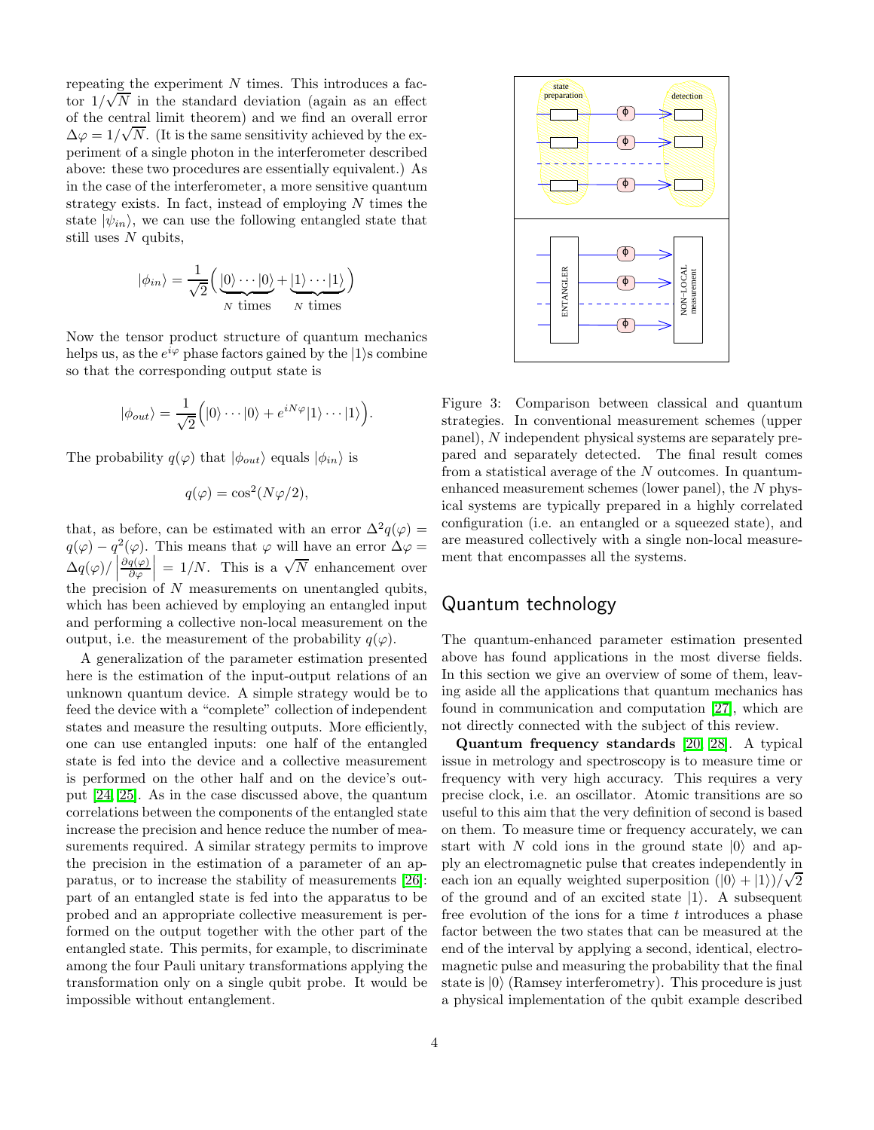repeating the experiment  $N$  times. This introduces a factor  $1/\sqrt{N}$  in the standard deviation (again as an effect of the central limit theorem) and we find an overall error  $\Delta \varphi = 1/\sqrt{N}$ . (It is the same sensitivity achieved by the experiment of a single photon in the interferometer described above: these two procedures are essentially equivalent.) As in the case of the interferometer, a more sensitive quantum strategy exists. In fact, instead of employing  $N$  times the state  $|\psi_{in}\rangle$ , we can use the following entangled state that still uses  $N$  qubits,

$$
|\phi_{in}\rangle = \frac{1}{\sqrt{2}} \Big( \underbrace{|0\rangle \cdots |0\rangle}_{N \text{ times}} + \underbrace{|1\rangle \cdots |1\rangle}_{N \text{ times}} \Big)
$$

Now the tensor product structure of quantum mechanics helps us, as the  $e^{i\varphi}$  phase factors gained by the  $|1\rangle$ s combine so that the corresponding output state is

$$
|\phi_{out}\rangle = \frac{1}{\sqrt{2}} (|0\rangle \cdots |0\rangle + e^{iN\varphi} |1\rangle \cdots |1\rangle).
$$

The probability  $q(\varphi)$  that  $|\phi_{out}\rangle$  equals  $|\phi_{in}\rangle$  is

$$
q(\varphi) = \cos^2(N\varphi/2),
$$

that, as before, can be estimated with an error  $\Delta^2 q(\varphi) =$  $q(\varphi) - q^2(\varphi)$ . This means that  $\varphi$  will have an error  $\Delta \varphi =$  $\Delta q(\varphi)/\left[\frac{\Delta q(\varphi)}{n}\right]$  $\partial q(\varphi)$  $\partial \varphi$  $= 1/N$ . This is a  $\sqrt{N}$  enhancement over the precision of  $N$  measurements on unentangled qubits, which has been achieved by employing an entangled input and performing a collective non-local measurement on the output, i.e. the measurement of the probability  $q(\varphi)$ .

A generalization of the parameter estimation presented here is the estimation of the input-output relations of an unknown quantum device. A simple strategy would be to feed the device with a "complete" collection of independent states and measure the resulting outputs. More efficiently, one can use entangled inputs: one half of the entangled state is fed into the device and a collective measurement is performed on the other half and on the device's output [\[24,](#page-8-23) [25\]](#page-8-24). As in the case discussed above, the quantum correlations between the components of the entangled state increase the precision and hence reduce the number of measurements required. A similar strategy permits to improve the precision in the estimation of a parameter of an apparatus, or to increase the stability of measurements [\[26\]](#page-8-25): part of an entangled state is fed into the apparatus to be probed and an appropriate collective measurement is performed on the output together with the other part of the entangled state. This permits, for example, to discriminate among the four Pauli unitary transformations applying the transformation only on a single qubit probe. It would be impossible without entanglement.



<span id="page-3-0"></span>Figure 3: Comparison between classical and quantum strategies. In conventional measurement schemes (upper panel), N independent physical systems are separately prepared and separately detected. The final result comes from a statistical average of the N outcomes. In quantumenhanced measurement schemes (lower panel), the  $N$  physical systems are typically prepared in a highly correlated configuration (i.e. an entangled or a squeezed state), and are measured collectively with a single non-local measurement that encompasses all the systems.

### Quantum technology

The quantum-enhanced parameter estimation presented above has found applications in the most diverse fields. In this section we give an overview of some of them, leaving aside all the applications that quantum mechanics has found in communication and computation [\[27\]](#page-8-26), which are not directly connected with the subject of this review.

Quantum frequency standards [\[20,](#page-8-19) [28\]](#page-8-27). A typical issue in metrology and spectroscopy is to measure time or frequency with very high accuracy. This requires a very precise clock, i.e. an oscillator. Atomic transitions are so useful to this aim that the very definition of second is based on them. To measure time or frequency accurately, we can start with N cold ions in the ground state  $|0\rangle$  and apply an electromagnetic pulse that creates independently in each ion an equally weighted superposition  $(|0\rangle + |1\rangle)/\sqrt{2}$ of the ground and of an excited state  $|1\rangle$ . A subsequent free evolution of the ions for a time  $t$  introduces a phase factor between the two states that can be measured at the end of the interval by applying a second, identical, electromagnetic pulse and measuring the probability that the final state is  $|0\rangle$  (Ramsey interferometry). This procedure is just a physical implementation of the qubit example described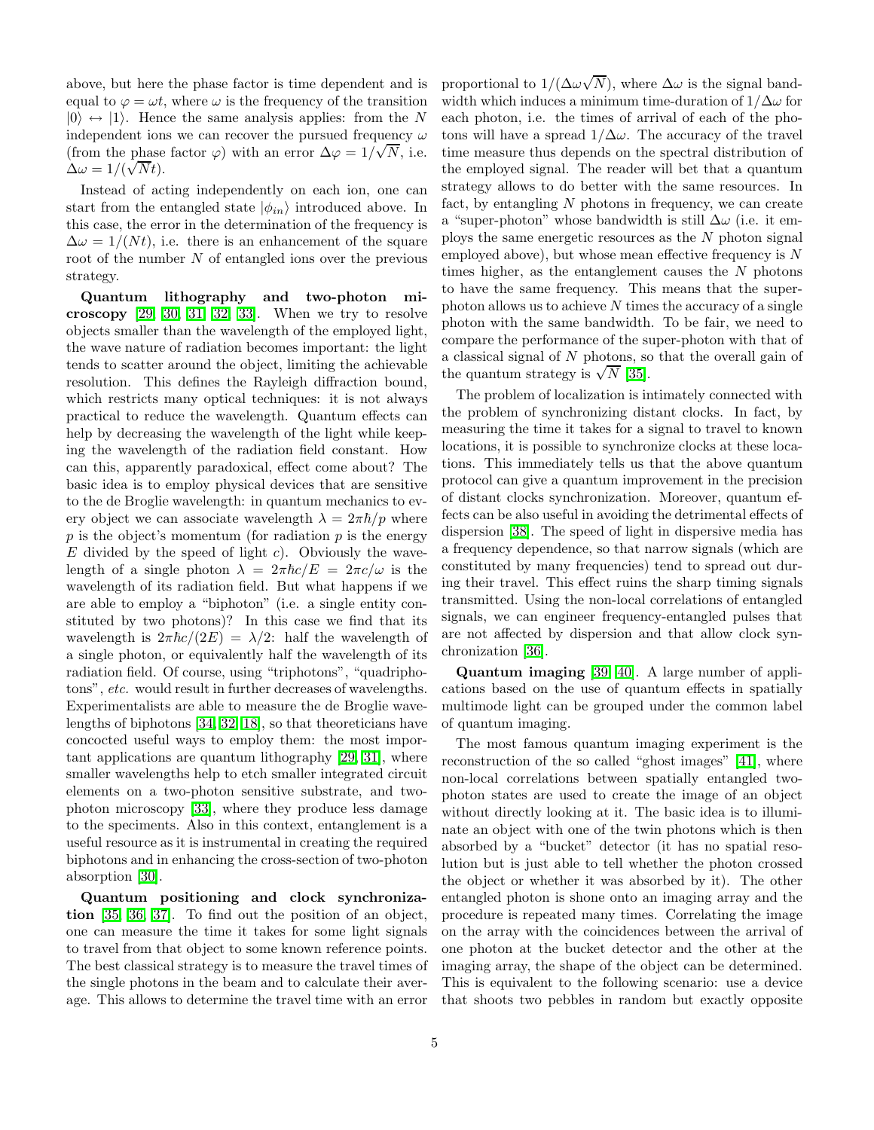above, but here the phase factor is time dependent and is equal to  $\varphi = \omega t$ , where  $\omega$  is the frequency of the transition  $|0\rangle \leftrightarrow |1\rangle$ . Hence the same analysis applies: from the N independent ions we can recover the pursued frequency  $\omega$ (from the phase factor  $\varphi$ ) with an error  $\Delta \varphi = 1/\sqrt{N}$ , i.e.  $\Delta \omega = 1/(\sqrt{N}t).$ 

Instead of acting independently on each ion, one can start from the entangled state  $|\phi_{in}\rangle$  introduced above. In this case, the error in the determination of the frequency is  $\Delta \omega = 1/(Nt)$ , i.e. there is an enhancement of the square root of the number  $N$  of entangled ions over the previous strategy.

Quantum lithography and two-photon microscopy  $[29, 30, 31, 32, 33]$  $[29, 30, 31, 32, 33]$  $[29, 30, 31, 32, 33]$  $[29, 30, 31, 32, 33]$  $[29, 30, 31, 32, 33]$ . When we try to resolve objects smaller than the wavelength of the employed light, the wave nature of radiation becomes important: the light tends to scatter around the object, limiting the achievable resolution. This defines the Rayleigh diffraction bound, which restricts many optical techniques: it is not always practical to reduce the wavelength. Quantum effects can help by decreasing the wavelength of the light while keeping the wavelength of the radiation field constant. How can this, apparently paradoxical, effect come about? The basic idea is to employ physical devices that are sensitive to the de Broglie wavelength: in quantum mechanics to every object we can associate wavelength  $\lambda = 2\pi\hbar/p$  where  $p$  is the object's momentum (for radiation  $p$  is the energy  $E$  divided by the speed of light c). Obviously the wavelength of a single photon  $\lambda = 2\pi \hbar c/E = 2\pi c/\omega$  is the wavelength of its radiation field. But what happens if we are able to employ a "biphoton" (i.e. a single entity constituted by two photons)? In this case we find that its wavelength is  $2\pi\hbar c/(2E) = \lambda/2$ : half the wavelength of a single photon, or equivalently half the wavelength of its radiation field. Of course, using "triphotons", "quadriphotons", *etc.* would result in further decreases of wavelengths. Experimentalists are able to measure the de Broglie wavelengths of biphotons [\[34,](#page-9-2) [32,](#page-9-0) [18\]](#page-8-17), so that theoreticians have concocted useful ways to employ them: the most important applications are quantum lithography [\[29,](#page-8-28) [31\]](#page-8-30), where smaller wavelengths help to etch smaller integrated circuit elements on a two-photon sensitive substrate, and twophoton microscopy [\[33\]](#page-9-1), where they produce less damage to the speciments. Also in this context, entanglement is a useful resource as it is instrumental in creating the required biphotons and in enhancing the cross-section of two-photon absorption [\[30\]](#page-8-29).

Quantum positioning and clock synchronization [\[35,](#page-9-3) [36,](#page-9-4) [37\]](#page-9-5). To find out the position of an object, one can measure the time it takes for some light signals to travel from that object to some known reference points. The best classical strategy is to measure the travel times of the single photons in the beam and to calculate their average. This allows to determine the travel time with an error

proportional to  $1/(\Delta\omega\sqrt{N})$ , where  $\Delta\omega$  is the signal bandwidth which induces a minimum time-duration of  $1/\Delta\omega$  for each photon, i.e. the times of arrival of each of the photons will have a spread  $1/\Delta\omega$ . The accuracy of the travel time measure thus depends on the spectral distribution of the employed signal. The reader will bet that a quantum strategy allows to do better with the same resources. In fact, by entangling  $N$  photons in frequency, we can create a "super-photon" whose bandwidth is still  $\Delta\omega$  (i.e. it employs the same energetic resources as the  $N$  photon signal employed above), but whose mean effective frequency is  $N$ times higher, as the entanglement causes the  $N$  photons to have the same frequency. This means that the superphoton allows us to achieve  $N$  times the accuracy of a single photon with the same bandwidth. To be fair, we need to compare the performance of the super-photon with that of a classical signal of N photons, so that the overall gain of the quantum strategy is  $\sqrt{N}$  [\[35\]](#page-9-3).

The problem of localization is intimately connected with the problem of synchronizing distant clocks. In fact, by measuring the time it takes for a signal to travel to known locations, it is possible to synchronize clocks at these locations. This immediately tells us that the above quantum protocol can give a quantum improvement in the precision of distant clocks synchronization. Moreover, quantum effects can be also useful in avoiding the detrimental effects of dispersion [\[38\]](#page-9-6). The speed of light in dispersive media has a frequency dependence, so that narrow signals (which are constituted by many frequencies) tend to spread out during their travel. This effect ruins the sharp timing signals transmitted. Using the non-local correlations of entangled signals, we can engineer frequency-entangled pulses that are not affected by dispersion and that allow clock synchronization [\[36\]](#page-9-4).

Quantum imaging [\[39,](#page-9-7) [40\]](#page-9-8). A large number of applications based on the use of quantum effects in spatially multimode light can be grouped under the common label of quantum imaging.

The most famous quantum imaging experiment is the reconstruction of the so called "ghost images" [\[41\]](#page-9-9), where non-local correlations between spatially entangled twophoton states are used to create the image of an object without directly looking at it. The basic idea is to illuminate an object with one of the twin photons which is then absorbed by a "bucket" detector (it has no spatial resolution but is just able to tell whether the photon crossed the object or whether it was absorbed by it). The other entangled photon is shone onto an imaging array and the procedure is repeated many times. Correlating the image on the array with the coincidences between the arrival of one photon at the bucket detector and the other at the imaging array, the shape of the object can be determined. This is equivalent to the following scenario: use a device that shoots two pebbles in random but exactly opposite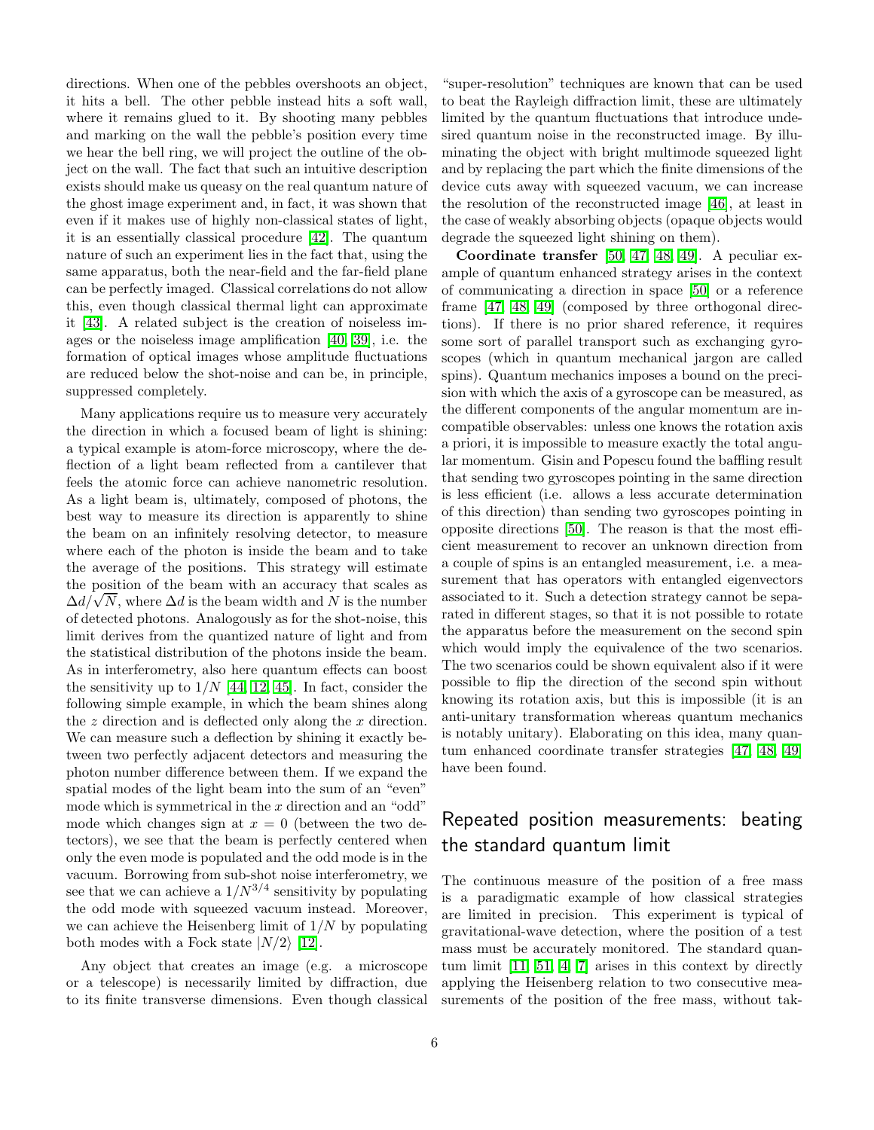directions. When one of the pebbles overshoots an object, it hits a bell. The other pebble instead hits a soft wall, where it remains glued to it. By shooting many pebbles and marking on the wall the pebble's position every time we hear the bell ring, we will project the outline of the object on the wall. The fact that such an intuitive description exists should make us queasy on the real quantum nature of the ghost image experiment and, in fact, it was shown that even if it makes use of highly non-classical states of light, it is an essentially classical procedure [\[42\]](#page-9-10). The quantum nature of such an experiment lies in the fact that, using the same apparatus, both the near-field and the far-field plane can be perfectly imaged. Classical correlations do not allow this, even though classical thermal light can approximate it [\[43\]](#page-9-11). A related subject is the creation of noiseless images or the noiseless image amplification [\[40,](#page-9-8) [39\]](#page-9-7), i.e. the formation of optical images whose amplitude fluctuations are reduced below the shot-noise and can be, in principle, suppressed completely.

Many applications require us to measure very accurately the direction in which a focused beam of light is shining: a typical example is atom-force microscopy, where the deflection of a light beam reflected from a cantilever that feels the atomic force can achieve nanometric resolution. As a light beam is, ultimately, composed of photons, the best way to measure its direction is apparently to shine the beam on an infinitely resolving detector, to measure where each of the photon is inside the beam and to take the average of the positions. This strategy will estimate the position of the beam with an accuracy that scales as  $\Delta d/\sqrt{N}$ , where  $\Delta d$  is the beam width and N is the number of detected photons. Analogously as for the shot-noise, this limit derives from the quantized nature of light and from the statistical distribution of the photons inside the beam. As in interferometry, also here quantum effects can boost the sensitivity up to  $1/N$  [\[44,](#page-9-12) [12,](#page-8-11) [45\]](#page-9-13). In fact, consider the following simple example, in which the beam shines along the  $z$  direction and is deflected only along the  $x$  direction. We can measure such a deflection by shining it exactly between two perfectly adjacent detectors and measuring the photon number difference between them. If we expand the spatial modes of the light beam into the sum of an "even" mode which is symmetrical in the  $x$  direction and an "odd" mode which changes sign at  $x = 0$  (between the two detectors), we see that the beam is perfectly centered when only the even mode is populated and the odd mode is in the vacuum. Borrowing from sub-shot noise interferometry, we see that we can achieve a  $1/N^{3/4}$  sensitivity by populating the odd mode with squeezed vacuum instead. Moreover, we can achieve the Heisenberg limit of  $1/N$  by populating both modes with a Fock state  $|N/2\rangle$  [\[12\]](#page-8-11).

Any object that creates an image (e.g. a microscope or a telescope) is necessarily limited by diffraction, due to its finite transverse dimensions. Even though classical

"super-resolution" techniques are known that can be used to beat the Rayleigh diffraction limit, these are ultimately limited by the quantum fluctuations that introduce undesired quantum noise in the reconstructed image. By illuminating the object with bright multimode squeezed light and by replacing the part which the finite dimensions of the device cuts away with squeezed vacuum, we can increase the resolution of the reconstructed image [\[46\]](#page-9-14), at least in the case of weakly absorbing objects (opaque objects would degrade the squeezed light shining on them).

Coordinate transfer [\[50,](#page-9-15) [47,](#page-9-16) [48,](#page-9-17) [49\]](#page-9-18). A peculiar example of quantum enhanced strategy arises in the context of communicating a direction in space [\[50\]](#page-9-15) or a reference frame [\[47,](#page-9-16) [48,](#page-9-17) [49\]](#page-9-18) (composed by three orthogonal directions). If there is no prior shared reference, it requires some sort of parallel transport such as exchanging gyroscopes (which in quantum mechanical jargon are called spins). Quantum mechanics imposes a bound on the precision with which the axis of a gyroscope can be measured, as the different components of the angular momentum are incompatible observables: unless one knows the rotation axis a priori, it is impossible to measure exactly the total angular momentum. Gisin and Popescu found the baffling result that sending two gyroscopes pointing in the same direction is less efficient (i.e. allows a less accurate determination of this direction) than sending two gyroscopes pointing in opposite directions [\[50\]](#page-9-15). The reason is that the most efficient measurement to recover an unknown direction from a couple of spins is an entangled measurement, i.e. a measurement that has operators with entangled eigenvectors associated to it. Such a detection strategy cannot be separated in different stages, so that it is not possible to rotate the apparatus before the measurement on the second spin which would imply the equivalence of the two scenarios. The two scenarios could be shown equivalent also if it were possible to flip the direction of the second spin without knowing its rotation axis, but this is impossible (it is an anti-unitary transformation whereas quantum mechanics is notably unitary). Elaborating on this idea, many quantum enhanced coordinate transfer strategies [\[47,](#page-9-16) [48,](#page-9-17) [49\]](#page-9-18) have been found.

# Repeated position measurements: beating the standard quantum limit

The continuous measure of the position of a free mass is a paradigmatic example of how classical strategies are limited in precision. This experiment is typical of gravitational-wave detection, where the position of a test mass must be accurately monitored. The standard quantum limit [\[11,](#page-8-10) [51,](#page-9-19) [4,](#page-8-3) [7\]](#page-8-6) arises in this context by directly applying the Heisenberg relation to two consecutive measurements of the position of the free mass, without tak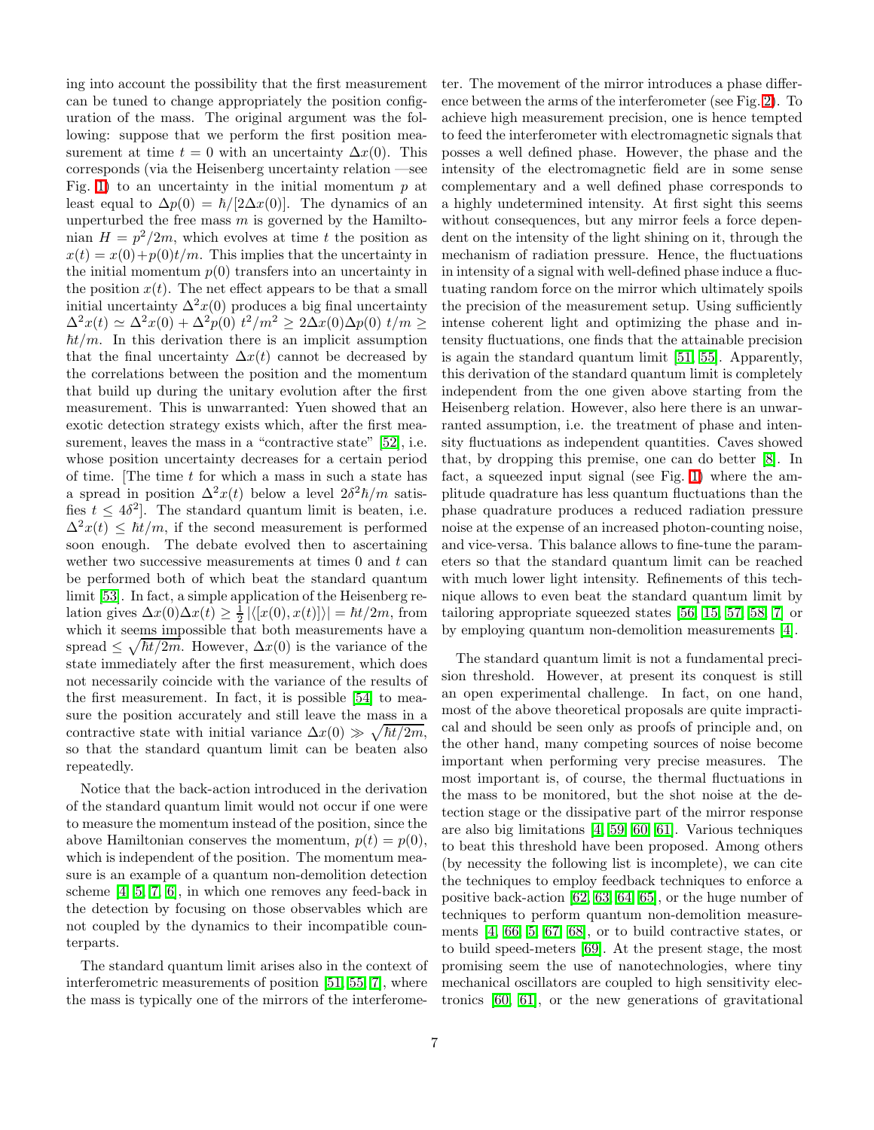ing into account the possibility that the first measurement can be tuned to change appropriately the position configuration of the mass. The original argument was the following: suppose that we perform the first position measurement at time  $t = 0$  with an uncertainty  $\Delta x(0)$ . This corresponds (via the Heisenberg uncertainty relation —see Fig. [1\)](#page-0-0) to an uncertainty in the initial momentum  $p$  at least equal to  $\Delta p(0) = \hbar/[2\Delta x(0)]$ . The dynamics of an unperturbed the free mass  $m$  is governed by the Hamiltonian  $H = p^2/2m$ , which evolves at time t the position as  $x(t) = x(0) + p(0)t/m$ . This implies that the uncertainty in the initial momentum  $p(0)$  transfers into an uncertainty in the position  $x(t)$ . The net effect appears to be that a small initial uncertainty  $\Delta^2 x(0)$  produces a big final uncertainty  $\Delta^2 x(t) \simeq \Delta^2 x(0) + \Delta^2 p(0) t^2/m^2 \ge 2\Delta x(0)\Delta p(0) t/m \ge$  $\hbar t/m$ . In this derivation there is an implicit assumption that the final uncertainty  $\Delta x(t)$  cannot be decreased by the correlations between the position and the momentum that build up during the unitary evolution after the first measurement. This is unwarranted: Yuen showed that an exotic detection strategy exists which, after the first mea-surement, leaves the mass in a "contractive state" [\[52\]](#page-9-20), i.e. whose position uncertainty decreases for a certain period of time. The time  $t$  for which a mass in such a state has a spread in position  $\Delta^2 x(t)$  below a level  $2\delta^2 \hbar/m$  satisfies  $t \leq 4\delta^2$ . The standard quantum limit is beaten, i.e.  $\Delta^2 x(t) \leq \hbar t/m$ , if the second measurement is performed soon enough. The debate evolved then to ascertaining wether two successive measurements at times  $0$  and  $t$  can be performed both of which beat the standard quantum limit [\[53\]](#page-9-21). In fact, a simple application of the Heisenberg relation gives  $\Delta x(0)\Delta x(t) \geq \frac{1}{2} |\langle [x(0), x(t)] \rangle| = \hbar t/2m$ , from which it seems impossible that both measurements have a spread  $\leq \sqrt{\hbar t/2m}$ . However,  $\Delta x(0)$  is the variance of the state immediately after the first measurement, which does not necessarily coincide with the variance of the results of the first measurement. In fact, it is possible [\[54\]](#page-9-22) to measure the position accurately and still leave the mass in a contractive state with initial variance  $\Delta x(0) \gg \sqrt{\hbar t/2m}$ , so that the standard quantum limit can be beaten also repeatedly.

Notice that the back-action introduced in the derivation of the standard quantum limit would not occur if one were to measure the momentum instead of the position, since the above Hamiltonian conserves the momentum,  $p(t) = p(0)$ , which is independent of the position. The momentum measure is an example of a quantum non-demolition detection scheme [\[4,](#page-8-3) [5,](#page-8-4) [7,](#page-8-6) [6\]](#page-8-5), in which one removes any feed-back in the detection by focusing on those observables which are not coupled by the dynamics to their incompatible counterparts.

The standard quantum limit arises also in the context of interferometric measurements of position [\[51,](#page-9-19) [55,](#page-9-23) [7\]](#page-8-6), where the mass is typically one of the mirrors of the interferometer. The movement of the mirror introduces a phase difference between the arms of the interferometer (see Fig. [2\)](#page-1-0). To achieve high measurement precision, one is hence tempted to feed the interferometer with electromagnetic signals that posses a well defined phase. However, the phase and the intensity of the electromagnetic field are in some sense complementary and a well defined phase corresponds to a highly undetermined intensity. At first sight this seems without consequences, but any mirror feels a force dependent on the intensity of the light shining on it, through the mechanism of radiation pressure. Hence, the fluctuations in intensity of a signal with well-defined phase induce a fluctuating random force on the mirror which ultimately spoils the precision of the measurement setup. Using sufficiently intense coherent light and optimizing the phase and intensity fluctuations, one finds that the attainable precision is again the standard quantum limit [\[51,](#page-9-19) [55\]](#page-9-23). Apparently, this derivation of the standard quantum limit is completely independent from the one given above starting from the Heisenberg relation. However, also here there is an unwarranted assumption, i.e. the treatment of phase and intensity fluctuations as independent quantities. Caves showed that, by dropping this premise, one can do better [\[8\]](#page-8-7). In fact, a squeezed input signal (see Fig. [1\)](#page-0-0) where the amplitude quadrature has less quantum fluctuations than the phase quadrature produces a reduced radiation pressure noise at the expense of an increased photon-counting noise, and vice-versa. This balance allows to fine-tune the parameters so that the standard quantum limit can be reached with much lower light intensity. Refinements of this technique allows to even beat the standard quantum limit by tailoring appropriate squeezed states [\[56,](#page-9-24) [15,](#page-8-14) [57,](#page-9-25) [58,](#page-9-26) [7\]](#page-8-6) or by employing quantum non-demolition measurements [\[4\]](#page-8-3).

The standard quantum limit is not a fundamental precision threshold. However, at present its conquest is still an open experimental challenge. In fact, on one hand, most of the above theoretical proposals are quite impractical and should be seen only as proofs of principle and, on the other hand, many competing sources of noise become important when performing very precise measures. The most important is, of course, the thermal fluctuations in the mass to be monitored, but the shot noise at the detection stage or the dissipative part of the mirror response are also big limitations [\[4,](#page-8-3) [59,](#page-9-27) [60,](#page-9-28) [61\]](#page-9-29). Various techniques to beat this threshold have been proposed. Among others (by necessity the following list is incomplete), we can cite the techniques to employ feedback techniques to enforce a positive back-action [\[62,](#page-9-30) [63,](#page-9-31) [64,](#page-9-32) [65\]](#page-9-33), or the huge number of techniques to perform quantum non-demolition measurements [\[4,](#page-8-3) [66,](#page-9-34) [5,](#page-8-4) [67,](#page-9-35) [68\]](#page-9-36), or to build contractive states, or to build speed-meters [\[69\]](#page-9-37). At the present stage, the most promising seem the use of nanotechnologies, where tiny mechanical oscillators are coupled to high sensitivity electronics [\[60,](#page-9-28) [61\]](#page-9-29), or the new generations of gravitational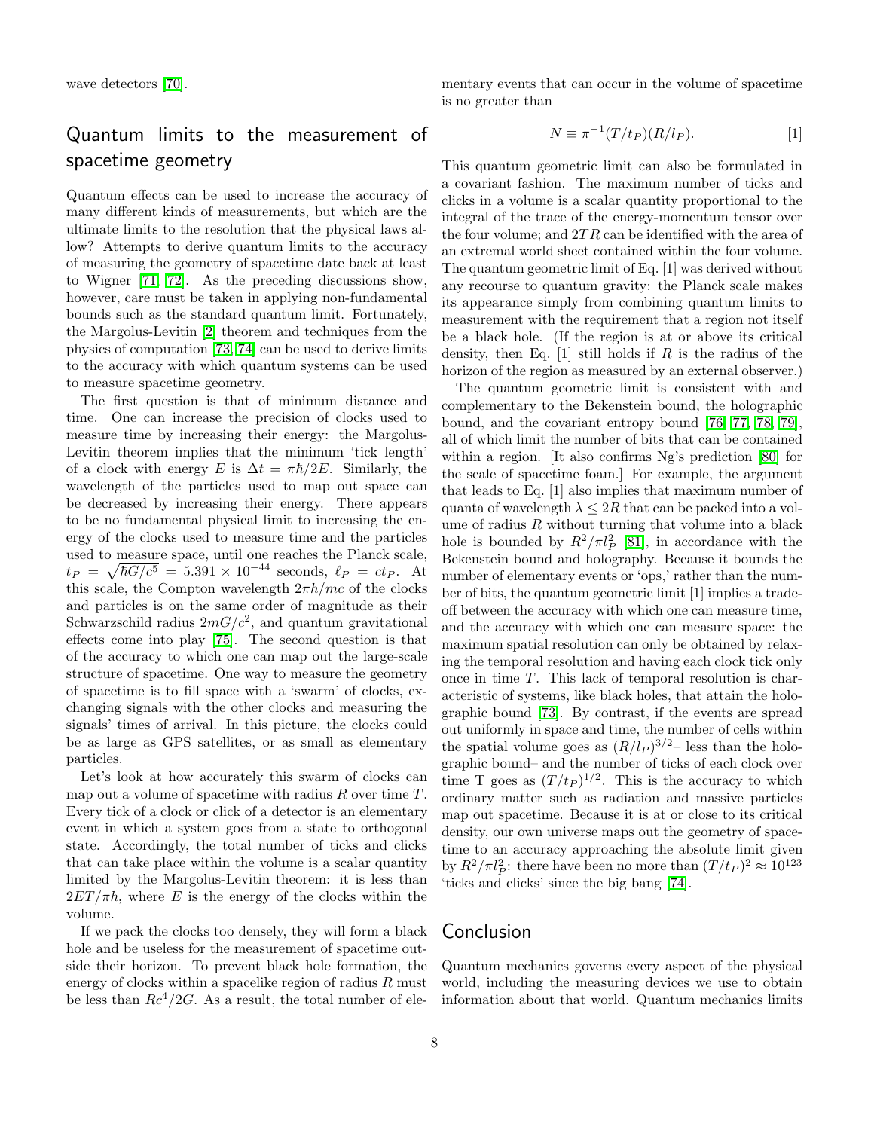# Quantum limits to the measurement of spacetime geometry

Quantum effects can be used to increase the accuracy of many different kinds of measurements, but which are the ultimate limits to the resolution that the physical laws allow? Attempts to derive quantum limits to the accuracy of measuring the geometry of spacetime date back at least to Wigner [\[71,](#page-9-39) [72\]](#page-9-40). As the preceding discussions show, however, care must be taken in applying non-fundamental bounds such as the standard quantum limit. Fortunately, the Margolus-Levitin [\[2\]](#page-8-1) theorem and techniques from the physics of computation [\[73,](#page-9-41) [74\]](#page-9-42) can be used to derive limits to the accuracy with which quantum systems can be used to measure spacetime geometry.

The first question is that of minimum distance and time. One can increase the precision of clocks used to measure time by increasing their energy: the Margolus-Levitin theorem implies that the minimum 'tick length' of a clock with energy E is  $\Delta t = \pi \hbar/2E$ . Similarly, the wavelength of the particles used to map out space can be decreased by increasing their energy. There appears to be no fundamental physical limit to increasing the energy of the clocks used to measure time and the particles used to measure space, until one reaches the Planck scale,  $t_P = \sqrt{\hbar G/c^5} = 5.391 \times 10^{-44}$  seconds,  $\ell_P = ct_P$ . At this scale, the Compton wavelength  $2\pi\hbar/mc$  of the clocks and particles is on the same order of magnitude as their Schwarzschild radius  $2mG/c^2$ , and quantum gravitational effects come into play [\[75\]](#page-10-0). The second question is that of the accuracy to which one can map out the large-scale structure of spacetime. One way to measure the geometry of spacetime is to fill space with a 'swarm' of clocks, exchanging signals with the other clocks and measuring the signals' times of arrival. In this picture, the clocks could be as large as GPS satellites, or as small as elementary particles.

Let's look at how accurately this swarm of clocks can map out a volume of spacetime with radius  $R$  over time  $T$ . Every tick of a clock or click of a detector is an elementary event in which a system goes from a state to orthogonal state. Accordingly, the total number of ticks and clicks that can take place within the volume is a scalar quantity limited by the Margolus-Levitin theorem: it is less than  $2ET/\pi\hbar$ , where E is the energy of the clocks within the volume.

If we pack the clocks too densely, they will form a black hole and be useless for the measurement of spacetime outside their horizon. To prevent black hole formation, the energy of clocks within a spacelike region of radius  $R$  must be less than  $Rc^4/2G$ . As a result, the total number of ele-

mentary events that can occur in the volume of spacetime is no greater than

$$
N \equiv \pi^{-1}(T/t_P)(R/l_P). \tag{1}
$$

This quantum geometric limit can also be formulated in a covariant fashion. The maximum number of ticks and clicks in a volume is a scalar quantity proportional to the integral of the trace of the energy-momentum tensor over the four volume; and  $2TR$  can be identified with the area of an extremal world sheet contained within the four volume. The quantum geometric limit of Eq. [1] was derived without any recourse to quantum gravity: the Planck scale makes its appearance simply from combining quantum limits to measurement with the requirement that a region not itself be a black hole. (If the region is at or above its critical density, then Eq.  $[1]$  still holds if R is the radius of the horizon of the region as measured by an external observer.)

The quantum geometric limit is consistent with and complementary to the Bekenstein bound, the holographic bound, and the covariant entropy bound [\[76,](#page-10-1) [77,](#page-10-2) [78,](#page-10-3) [79\]](#page-10-4), all of which limit the number of bits that can be contained within a region. [It also confirms Ng's prediction [\[80\]](#page-10-5) for the scale of spacetime foam.] For example, the argument that leads to Eq. [1] also implies that maximum number of quanta of wavelength  $\lambda \leq 2R$  that can be packed into a volume of radius  $R$  without turning that volume into a black hole is bounded by  $R^2/\pi l_P^2$  [\[81\]](#page-10-6), in accordance with the Bekenstein bound and holography. Because it bounds the number of elementary events or 'ops,' rather than the number of bits, the quantum geometric limit [1] implies a tradeoff between the accuracy with which one can measure time, and the accuracy with which one can measure space: the maximum spatial resolution can only be obtained by relaxing the temporal resolution and having each clock tick only once in time  $T$ . This lack of temporal resolution is characteristic of systems, like black holes, that attain the holographic bound [\[73\]](#page-9-41). By contrast, if the events are spread out uniformly in space and time, the number of cells within the spatial volume goes as  $(R/l_P)^{3/2}$  less than the holographic bound– and the number of ticks of each clock over time T goes as  $(T/t_P)^{1/2}$ . This is the accuracy to which ordinary matter such as radiation and massive particles map out spacetime. Because it is at or close to its critical density, our own universe maps out the geometry of spacetime to an accuracy approaching the absolute limit given by  $R^2/\pi l_P^2$ : there have been no more than  $(T/t_P)^2 \approx 10^{123}$ 'ticks and clicks' since the big bang [\[74\]](#page-9-42).

#### Conclusion

Quantum mechanics governs every aspect of the physical world, including the measuring devices we use to obtain information about that world. Quantum mechanics limits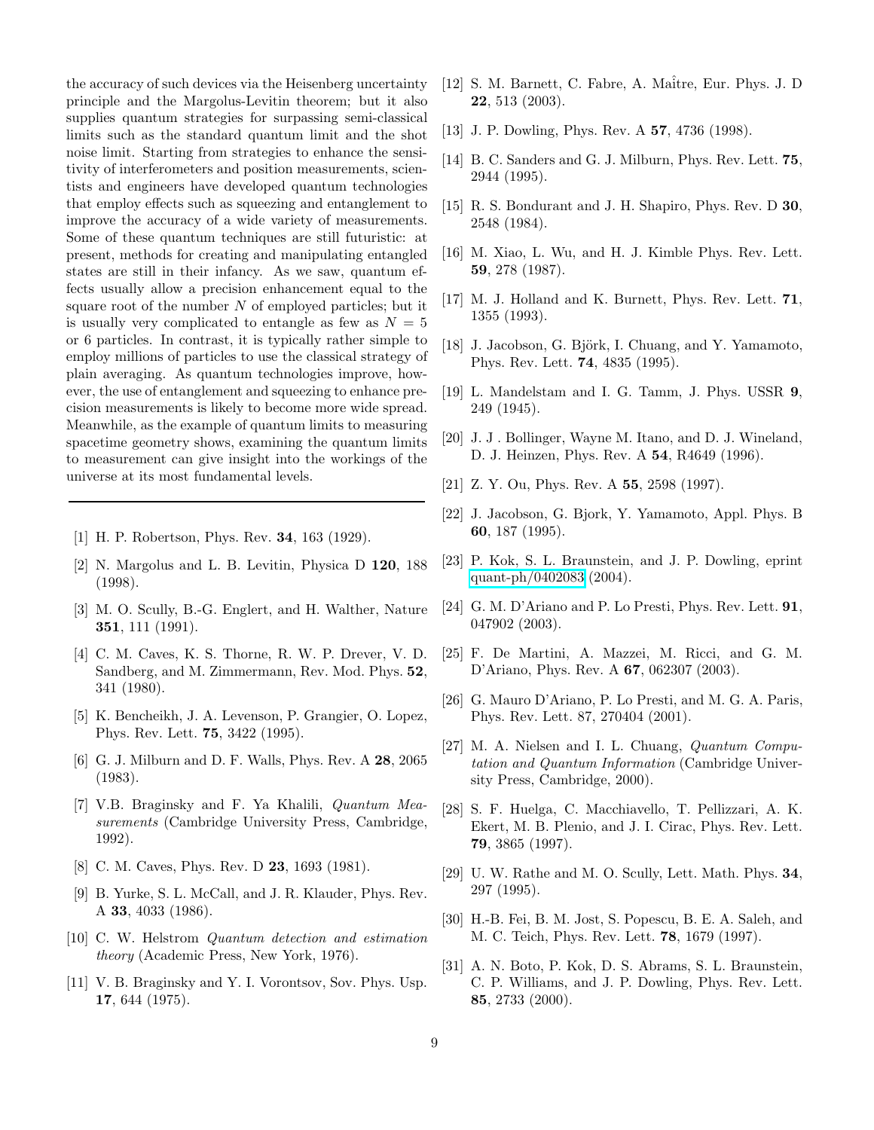the accuracy of such devices via the Heisenberg uncertainty principle and the Margolus-Levitin theorem; but it also supplies quantum strategies for surpassing semi-classical limits such as the standard quantum limit and the shot noise limit. Starting from strategies to enhance the sensitivity of interferometers and position measurements, scientists and engineers have developed quantum technologies that employ effects such as squeezing and entanglement to improve the accuracy of a wide variety of measurements. Some of these quantum techniques are still futuristic: at present, methods for creating and manipulating entangled states are still in their infancy. As we saw, quantum effects usually allow a precision enhancement equal to the square root of the number  $N$  of employed particles; but it is usually very complicated to entangle as few as  $N = 5$ or 6 particles. In contrast, it is typically rather simple to employ millions of particles to use the classical strategy of plain averaging. As quantum technologies improve, however, the use of entanglement and squeezing to enhance precision measurements is likely to become more wide spread. Meanwhile, as the example of quantum limits to measuring spacetime geometry shows, examining the quantum limits to measurement can give insight into the workings of the universe at its most fundamental levels.

- <span id="page-8-1"></span><span id="page-8-0"></span>[1] H. P. Robertson, Phys. Rev. 34, 163 (1929).
- [2] N. Margolus and L. B. Levitin, Physica D 120, 188 (1998).
- <span id="page-8-2"></span>[3] M. O. Scully, B.-G. Englert, and H. Walther, Nature 351, 111 (1991).
- <span id="page-8-3"></span>[4] C. M. Caves, K. S. Thorne, R. W. P. Drever, V. D. Sandberg, and M. Zimmermann, Rev. Mod. Phys. 52, 341 (1980).
- <span id="page-8-4"></span>[5] K. Bencheikh, J. A. Levenson, P. Grangier, O. Lopez, Phys. Rev. Lett. 75, 3422 (1995).
- <span id="page-8-5"></span>[6] G. J. Milburn and D. F. Walls, Phys. Rev. A 28, 2065 (1983).
- <span id="page-8-6"></span>[7] V.B. Braginsky and F. Ya Khalili, *Quantum Measurements* (Cambridge University Press, Cambridge, 1992).
- <span id="page-8-7"></span>[8] C. M. Caves, Phys. Rev. D **23**, 1693 (1981).
- <span id="page-8-8"></span>[9] B. Yurke, S. L. McCall, and J. R. Klauder, Phys. Rev. A 33, 4033 (1986).
- <span id="page-8-9"></span>[10] C. W. Helstrom *Quantum detection and estimation theory* (Academic Press, New York, 1976).
- <span id="page-8-10"></span>[11] V. B. Braginsky and Y. I. Vorontsov, Sov. Phys. Usp. 17, 644 (1975).
- <span id="page-8-11"></span>[12] S. M. Barnett, C. Fabre, A. Maitre, Eur. Phys. J. D. 22, 513 (2003).
- <span id="page-8-13"></span><span id="page-8-12"></span>[13] J. P. Dowling, Phys. Rev. A 57, 4736 (1998).
- <span id="page-8-14"></span>[14] B. C. Sanders and G. J. Milburn, Phys. Rev. Lett. **75**, 2944 (1995).
- [15] R. S. Bondurant and J. H. Shapiro, Phys. Rev. D 30, 2548 (1984).
- <span id="page-8-15"></span>[16] M. Xiao, L. Wu, and H. J. Kimble Phys. Rev. Lett. 59, 278 (1987).
- <span id="page-8-17"></span><span id="page-8-16"></span>[17] M. J. Holland and K. Burnett, Phys. Rev. Lett. **71**, 1355 (1993).
- <span id="page-8-18"></span>[18] J. Jacobson, G. Björk, I. Chuang, and Y. Yamamoto, Phys. Rev. Lett. 74, 4835 (1995).
- <span id="page-8-19"></span>[19] L. Mandelstam and I. G. Tamm, J. Phys. USSR 9, 249 (1945).
- [20] J. J . Bollinger, Wayne M. Itano, and D. J. Wineland, D. J. Heinzen, Phys. Rev. A 54, R4649 (1996).
- <span id="page-8-21"></span><span id="page-8-20"></span>[21] Z. Y. Ou, Phys. Rev. A 55, 2598 (1997).
- [22] J. Jacobson, G. Bjork, Y. Yamamoto, Appl. Phys. B 60, 187 (1995).
- <span id="page-8-22"></span>[23] P. Kok, S. L. Braunstein, and J. P. Dowling, eprint [quant-ph/0402083](http://arXiv.org/abs/quant-ph/0402083) (2004).
- <span id="page-8-23"></span>[24] G. M. D'Ariano and P. Lo Presti, Phys. Rev. Lett. 91, 047902 (2003).
- <span id="page-8-25"></span><span id="page-8-24"></span>[25] F. De Martini, A. Mazzei, M. Ricci, and G. M. D'Ariano, Phys. Rev. A 67, 062307 (2003).
- [26] G. Mauro D'Ariano, P. Lo Presti, and M. G. A. Paris, Phys. Rev. Lett. 87, 270404 (2001).
- <span id="page-8-26"></span>[27] M. A. Nielsen and I. L. Chuang, *Quantum Computation and Quantum Information* (Cambridge University Press, Cambridge, 2000).
- <span id="page-8-27"></span>[28] S. F. Huelga, C. Macchiavello, T. Pellizzari, A. K. Ekert, M. B. Plenio, and J. I. Cirac, Phys. Rev. Lett. 79, 3865 (1997).
- <span id="page-8-28"></span>[29] U. W. Rathe and M. O. Scully, Lett. Math. Phys. 34, 297 (1995).
- <span id="page-8-29"></span>[30] H.-B. Fei, B. M. Jost, S. Popescu, B. E. A. Saleh, and M. C. Teich, Phys. Rev. Lett. 78, 1679 (1997).
- <span id="page-8-30"></span>[31] A. N. Boto, P. Kok, D. S. Abrams, S. L. Braunstein, C. P. Williams, and J. P. Dowling, Phys. Rev. Lett. 85, 2733 (2000).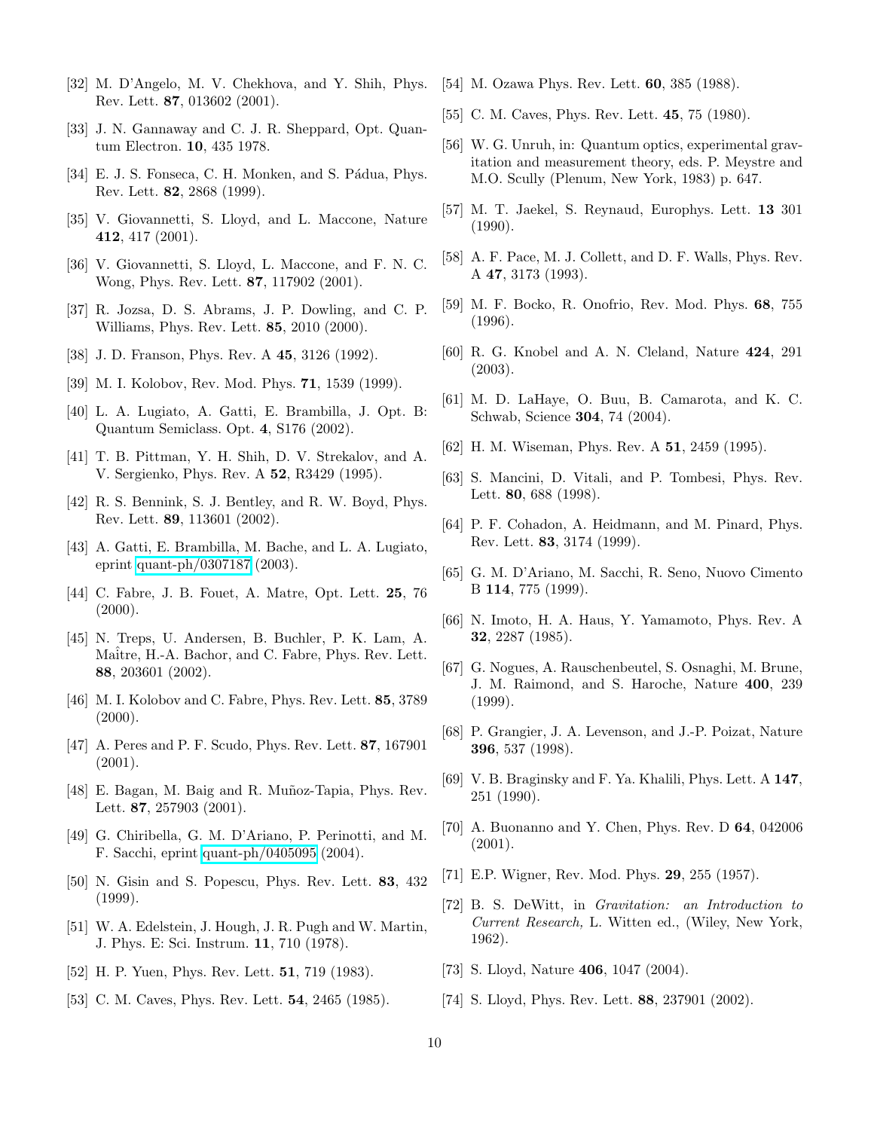- <span id="page-9-0"></span>[32] M. D'Angelo, M. V. Chekhova, and Y. Shih, Phys. Rev. Lett. 87, 013602 (2001).
- <span id="page-9-2"></span><span id="page-9-1"></span>[33] J. N. Gannaway and C. J. R. Sheppard, Opt. Quantum Electron. 10, 435 1978.
- <span id="page-9-3"></span>[34] E. J. S. Fonseca, C. H. Monken, and S. Pádua, Phys. Rev. Lett. 82, 2868 (1999).
- <span id="page-9-4"></span>[35] V. Giovannetti, S. Lloyd, and L. Maccone, Nature 412, 417 (2001).
- [36] V. Giovannetti, S. Lloyd, L. Maccone, and F. N. C. Wong, Phys. Rev. Lett. 87, 117902 (2001).
- <span id="page-9-5"></span>[37] R. Jozsa, D. S. Abrams, J. P. Dowling, and C. P. Williams, Phys. Rev. Lett. 85, 2010 (2000).
- <span id="page-9-7"></span><span id="page-9-6"></span>[38] J. D. Franson, Phys. Rev. A 45, 3126 (1992).
- <span id="page-9-8"></span>[39] M. I. Kolobov, Rev. Mod. Phys. 71, 1539 (1999).
- [40] L. A. Lugiato, A. Gatti, E. Brambilla, J. Opt. B: Quantum Semiclass. Opt. 4, S176 (2002).
- <span id="page-9-10"></span><span id="page-9-9"></span>[41] T. B. Pittman, Y. H. Shih, D. V. Strekalov, and A. V. Sergienko, Phys. Rev. A 52, R3429 (1995).
- [42] R. S. Bennink, S. J. Bentley, and R. W. Boyd, Phys. Rev. Lett. 89, 113601 (2002).
- <span id="page-9-12"></span><span id="page-9-11"></span>[43] A. Gatti, E. Brambilla, M. Bache, and L. A. Lugiato, eprint [quant-ph/0307187](http://arXiv.org/abs/quant-ph/0307187) (2003).
- [44] C. Fabre, J. B. Fouet, A. Matre, Opt. Lett. 25, 76  $(2000).$
- <span id="page-9-13"></span>[45] N. Treps, U. Andersen, B. Buchler, P. K. Lam, A. Maitre, H.-A. Bachor, and C. Fabre, Phys. Rev. Lett. 88, 203601 (2002).
- <span id="page-9-16"></span><span id="page-9-14"></span>[46] M. I. Kolobov and C. Fabre, Phys. Rev. Lett. **85**, 3789  $(2000)$ .
- [47] A. Peres and P. F. Scudo, Phys. Rev. Lett. 87, 167901 (2001).
- <span id="page-9-17"></span>[48] E. Bagan, M. Baig and R. Muñoz-Tapia, Phys. Rev. Lett. 87, 257903 (2001).
- <span id="page-9-18"></span>[49] G. Chiribella, G. M. D'Ariano, P. Perinotti, and M. F. Sacchi, eprint [quant-ph/0405095](http://arXiv.org/abs/quant-ph/0405095) (2004).
- <span id="page-9-15"></span>[50] N. Gisin and S. Popescu, Phys. Rev. Lett. 83, 432 (1999).
- <span id="page-9-19"></span>[51] W. A. Edelstein, J. Hough, J. R. Pugh and W. Martin, J. Phys. E: Sci. Instrum. 11, 710 (1978).
- <span id="page-9-21"></span><span id="page-9-20"></span>[52] H. P. Yuen, Phys. Rev. Lett. **51**, 719 (1983).
- [53] C. M. Caves, Phys. Rev. Lett. **54**, 2465 (1985).
- <span id="page-9-23"></span><span id="page-9-22"></span>[54] M. Ozawa Phys. Rev. Lett. **60**, 385 (1988).
- <span id="page-9-24"></span>[55] C. M. Caves, Phys. Rev. Lett. **45**, 75 (1980).
- [56] W. G. Unruh, in: Quantum optics, experimental gravitation and measurement theory, eds. P. Meystre and M.O. Scully (Plenum, New York, 1983) p. 647.
- <span id="page-9-25"></span>[57] M. T. Jaekel, S. Reynaud, Europhys. Lett. 13 301 (1990).
- <span id="page-9-26"></span>[58] A. F. Pace, M. J. Collett, and D. F. Walls, Phys. Rev. A 47, 3173 (1993).
- <span id="page-9-28"></span><span id="page-9-27"></span>[59] M. F. Bocko, R. Onofrio, Rev. Mod. Phys. 68, 755 (1996).
- [60] R. G. Knobel and A. N. Cleland, Nature 424, 291 (2003).
- <span id="page-9-29"></span>[61] M. D. LaHaye, O. Buu, B. Camarota, and K. C. Schwab, Science 304, 74 (2004).
- <span id="page-9-31"></span><span id="page-9-30"></span>[62] H. M. Wiseman, Phys. Rev. A **51**, 2459 (1995).
- [63] S. Mancini, D. Vitali, and P. Tombesi, Phys. Rev. Lett. 80, 688 (1998).
- <span id="page-9-32"></span>[64] P. F. Cohadon, A. Heidmann, and M. Pinard, Phys. Rev. Lett. 83, 3174 (1999).
- <span id="page-9-33"></span>[65] G. M. D'Ariano, M. Sacchi, R. Seno, Nuovo Cimento B 114, 775 (1999).
- <span id="page-9-35"></span><span id="page-9-34"></span>[66] N. Imoto, H. A. Haus, Y. Yamamoto, Phys. Rev. A 32, 2287 (1985).
- [67] G. Nogues, A. Rauschenbeutel, S. Osnaghi, M. Brune, J. M. Raimond, and S. Haroche, Nature 400, 239 (1999).
- <span id="page-9-36"></span>[68] P. Grangier, J. A. Levenson, and J.-P. Poizat, Nature 396, 537 (1998).
- <span id="page-9-37"></span>[69] V. B. Braginsky and F. Ya. Khalili, Phys. Lett. A 147, 251 (1990).
- <span id="page-9-38"></span>[70] A. Buonanno and Y. Chen, Phys. Rev. D 64, 042006 (2001).
- <span id="page-9-40"></span><span id="page-9-39"></span>[71] E.P. Wigner, Rev. Mod. Phys. 29, 255 (1957).
- [72] B. S. DeWitt, in *Gravitation: an Introduction to Current Research,* L. Witten ed., (Wiley, New York, 1962).
- <span id="page-9-42"></span><span id="page-9-41"></span>[73] S. Lloyd, Nature **406**, 1047 (2004).
- [74] S. Lloyd, Phys. Rev. Lett. 88, 237901 (2002).